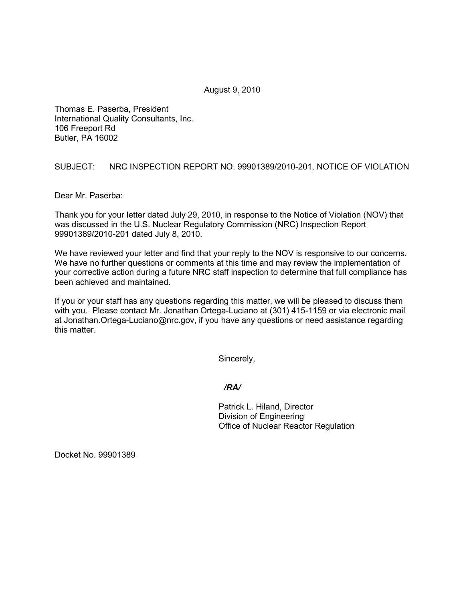August 9, 2010

Thomas E. Paserba, President International Quality Consultants, Inc. 106 Freeport Rd Butler, PA 16002

SUBJECT: NRC INSPECTION REPORT NO. 99901389/2010-201, NOTICE OF VIOLATION

Dear Mr. Paserba:

Thank you for your letter dated July 29, 2010, in response to the Notice of Violation (NOV) that was discussed in the U.S. Nuclear Regulatory Commission (NRC) Inspection Report 99901389/2010-201 dated July 8, 2010.

We have reviewed your letter and find that your reply to the NOV is responsive to our concerns. We have no further questions or comments at this time and may review the implementation of your corrective action during a future NRC staff inspection to determine that full compliance has been achieved and maintained.

If you or your staff has any questions regarding this matter, we will be pleased to discuss them with you. Please contact Mr. Jonathan Ortega-Luciano at (301) 415-1159 or via electronic mail at Jonathan.Ortega-Luciano@nrc.gov, if you have any questions or need assistance regarding this matter.

Sincerely,

*/RA/* 

Patrick L. Hiland, Director Division of Engineering Office of Nuclear Reactor Regulation

Docket No. 99901389